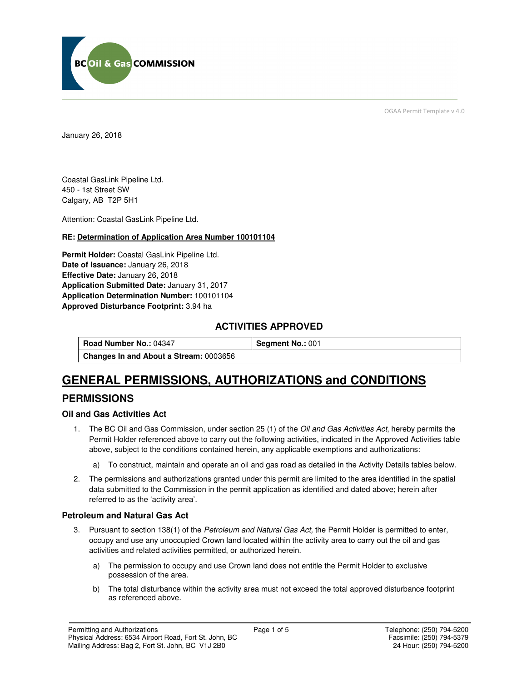

OGAA Permit Template v 4.0

January 26, 2018

Coastal GasLink Pipeline Ltd. 450 - 1st Street SW Calgary, AB T2P 5H1

Attention: Coastal GasLink Pipeline Ltd.

#### **RE: Determination of Application Area Number 100101104**

**Permit Holder:** Coastal GasLink Pipeline Ltd. **Date of Issuance:** January 26, 2018 **Effective Date:** January 26, 2018 **Application Submitted Date:** January 31, 2017 **Application Determination Number:** 100101104 **Approved Disturbance Footprint:** 3.94 ha

### **ACTIVITIES APPROVED**

**Road Number No.: 04347 <b>Segment No.: 001 Changes In and About a Stream:** 0003656

# **GENERAL PERMISSIONS, AUTHORIZATIONS and CONDITIONS**

## **PERMISSIONS**

#### **Oil and Gas Activities Act**

- 1. The BC Oil and Gas Commission, under section 25 (1) of the *Oil and Gas Activities Act*, hereby permits the Permit Holder referenced above to carry out the following activities, indicated in the Approved Activities table above, subject to the conditions contained herein, any applicable exemptions and authorizations:
	- a) To construct, maintain and operate an oil and gas road as detailed in the Activity Details tables below.
- 2. The permissions and authorizations granted under this permit are limited to the area identified in the spatial data submitted to the Commission in the permit application as identified and dated above; herein after referred to as the 'activity area'.

#### **Petroleum and Natural Gas Act**

- 3. Pursuant to section 138(1) of the Petroleum and Natural Gas Act, the Permit Holder is permitted to enter, occupy and use any unoccupied Crown land located within the activity area to carry out the oil and gas activities and related activities permitted, or authorized herein.
	- a) The permission to occupy and use Crown land does not entitle the Permit Holder to exclusive possession of the area.
	- b) The total disturbance within the activity area must not exceed the total approved disturbance footprint as referenced above.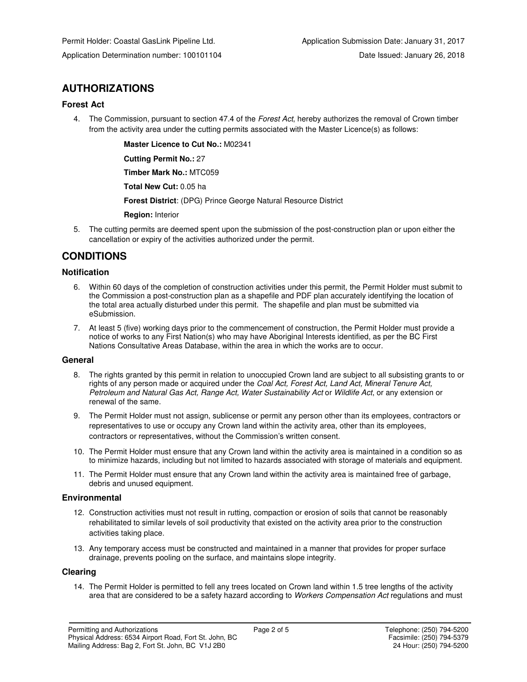# **AUTHORIZATIONS**

#### **Forest Act**

4. The Commission, pursuant to section 47.4 of the Forest Act, hereby authorizes the removal of Crown timber from the activity area under the cutting permits associated with the Master Licence(s) as follows:

 **Master Licence to Cut No.:** M02341

 **Cutting Permit No.:** 27

 **Timber Mark No.:** MTC059

 **Total New Cut:** 0.05 ha

 **Forest District**: (DPG) Prince George Natural Resource District

 **Region:** Interior

5. The cutting permits are deemed spent upon the submission of the post-construction plan or upon either the cancellation or expiry of the activities authorized under the permit.

## **CONDITIONS**

#### **Notification**

- 6. Within 60 days of the completion of construction activities under this permit, the Permit Holder must submit to the Commission a post-construction plan as a shapefile and PDF plan accurately identifying the location of the total area actually disturbed under this permit. The shapefile and plan must be submitted via eSubmission.
- 7. At least 5 (five) working days prior to the commencement of construction, the Permit Holder must provide a notice of works to any First Nation(s) who may have Aboriginal Interests identified, as per the BC First Nations Consultative Areas Database, within the area in which the works are to occur.

#### **General**

- 8. The rights granted by this permit in relation to unoccupied Crown land are subject to all subsisting grants to or rights of any person made or acquired under the Coal Act, Forest Act, Land Act, Mineral Tenure Act, Petroleum and Natural Gas Act, Range Act, Water Sustainability Act or Wildlife Act, or any extension or renewal of the same.
- 9. The Permit Holder must not assign, sublicense or permit any person other than its employees, contractors or representatives to use or occupy any Crown land within the activity area, other than its employees, contractors or representatives, without the Commission's written consent.
- 10. The Permit Holder must ensure that any Crown land within the activity area is maintained in a condition so as to minimize hazards, including but not limited to hazards associated with storage of materials and equipment.
- 11. The Permit Holder must ensure that any Crown land within the activity area is maintained free of garbage, debris and unused equipment.

#### **Environmental**

- 12. Construction activities must not result in rutting, compaction or erosion of soils that cannot be reasonably rehabilitated to similar levels of soil productivity that existed on the activity area prior to the construction activities taking place.
- 13. Any temporary access must be constructed and maintained in a manner that provides for proper surface drainage, prevents pooling on the surface, and maintains slope integrity.

#### **Clearing**

14. The Permit Holder is permitted to fell any trees located on Crown land within 1.5 tree lengths of the activity area that are considered to be a safety hazard according to Workers Compensation Act regulations and must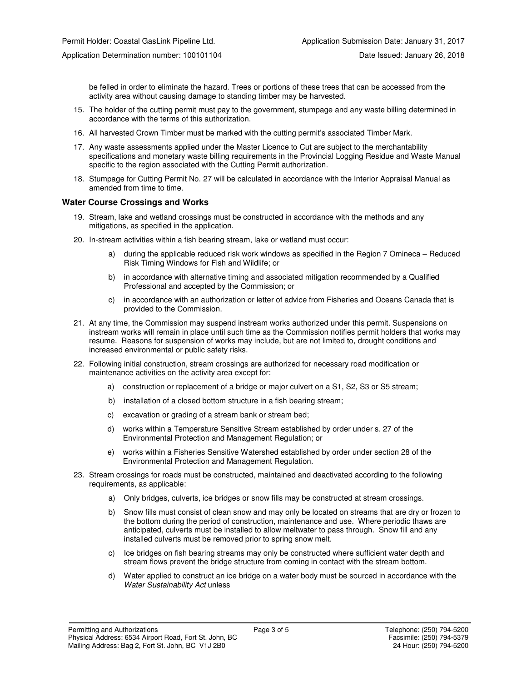be felled in order to eliminate the hazard. Trees or portions of these trees that can be accessed from the activity area without causing damage to standing timber may be harvested.

- 15. The holder of the cutting permit must pay to the government, stumpage and any waste billing determined in accordance with the terms of this authorization.
- 16. All harvested Crown Timber must be marked with the cutting permit's associated Timber Mark.
- 17. Any waste assessments applied under the Master Licence to Cut are subject to the merchantability specifications and monetary waste billing requirements in the Provincial Logging Residue and Waste Manual specific to the region associated with the Cutting Permit authorization.
- 18. Stumpage for Cutting Permit No. 27 will be calculated in accordance with the Interior Appraisal Manual as amended from time to time.

#### **Water Course Crossings and Works**

- 19. Stream, lake and wetland crossings must be constructed in accordance with the methods and any mitigations, as specified in the application.
- 20. In-stream activities within a fish bearing stream, lake or wetland must occur:
	- a) during the applicable reduced risk work windows as specified in the Region 7 Omineca Reduced Risk Timing Windows for Fish and Wildlife; or
	- b) in accordance with alternative timing and associated mitigation recommended by a Qualified Professional and accepted by the Commission; or
	- c) in accordance with an authorization or letter of advice from Fisheries and Oceans Canada that is provided to the Commission.
- 21. At any time, the Commission may suspend instream works authorized under this permit. Suspensions on instream works will remain in place until such time as the Commission notifies permit holders that works may resume. Reasons for suspension of works may include, but are not limited to, drought conditions and increased environmental or public safety risks.
- 22. Following initial construction, stream crossings are authorized for necessary road modification or maintenance activities on the activity area except for:
	- a) construction or replacement of a bridge or major culvert on a S1, S2, S3 or S5 stream;
	- b) installation of a closed bottom structure in a fish bearing stream;
	- c) excavation or grading of a stream bank or stream bed;
	- d) works within a Temperature Sensitive Stream established by order under s. 27 of the Environmental Protection and Management Regulation; or
	- e) works within a Fisheries Sensitive Watershed established by order under section 28 of the Environmental Protection and Management Regulation.
- 23. Stream crossings for roads must be constructed, maintained and deactivated according to the following requirements, as applicable:
	- a) Only bridges, culverts, ice bridges or snow fills may be constructed at stream crossings.
	- b) Snow fills must consist of clean snow and may only be located on streams that are dry or frozen to the bottom during the period of construction, maintenance and use. Where periodic thaws are anticipated, culverts must be installed to allow meltwater to pass through. Snow fill and any installed culverts must be removed prior to spring snow melt.
	- c) Ice bridges on fish bearing streams may only be constructed where sufficient water depth and stream flows prevent the bridge structure from coming in contact with the stream bottom.
	- d) Water applied to construct an ice bridge on a water body must be sourced in accordance with the Water Sustainability Act unless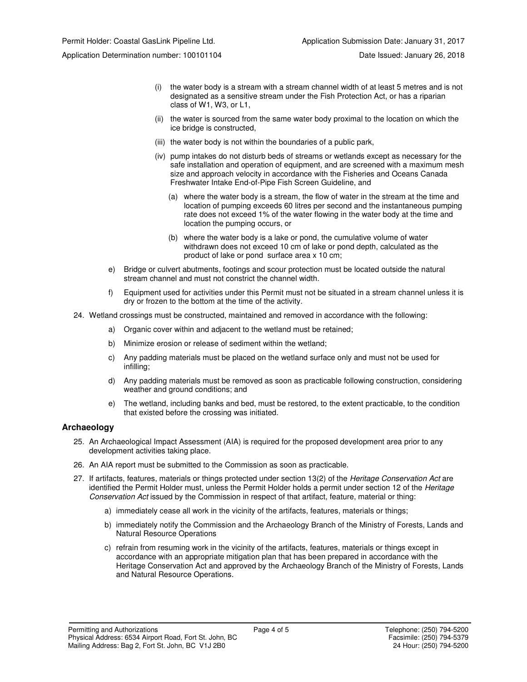- (i) the water body is a stream with a stream channel width of at least 5 metres and is not designated as a sensitive stream under the Fish Protection Act, or has a riparian class of W1, W3, or L1,
- (ii) the water is sourced from the same water body proximal to the location on which the ice bridge is constructed,
- (iii) the water body is not within the boundaries of a public park,
- (iv) pump intakes do not disturb beds of streams or wetlands except as necessary for the safe installation and operation of equipment, and are screened with a maximum mesh size and approach velocity in accordance with the Fisheries and Oceans Canada Freshwater Intake End-of-Pipe Fish Screen Guideline, and
	- (a) where the water body is a stream, the flow of water in the stream at the time and location of pumping exceeds 60 litres per second and the instantaneous pumping rate does not exceed 1% of the water flowing in the water body at the time and location the pumping occurs, or
	- (b) where the water body is a lake or pond, the cumulative volume of water withdrawn does not exceed 10 cm of lake or pond depth, calculated as the product of lake or pond surface area x 10 cm;
- e) Bridge or culvert abutments, footings and scour protection must be located outside the natural stream channel and must not constrict the channel width.
- f) Equipment used for activities under this Permit must not be situated in a stream channel unless it is dry or frozen to the bottom at the time of the activity.
- 24. Wetland crossings must be constructed, maintained and removed in accordance with the following:
	- a) Organic cover within and adjacent to the wetland must be retained;
	- b) Minimize erosion or release of sediment within the wetland;
	- c) Any padding materials must be placed on the wetland surface only and must not be used for infilling;
	- d) Any padding materials must be removed as soon as practicable following construction, considering weather and ground conditions; and
	- e) The wetland, including banks and bed, must be restored, to the extent practicable, to the condition that existed before the crossing was initiated.

#### **Archaeology**

- 25. An Archaeological Impact Assessment (AIA) is required for the proposed development area prior to any development activities taking place.
- 26. An AIA report must be submitted to the Commission as soon as practicable.
- 27. If artifacts, features, materials or things protected under section 13(2) of the Heritage Conservation Act are identified the Permit Holder must, unless the Permit Holder holds a permit under section 12 of the Heritage Conservation Act issued by the Commission in respect of that artifact, feature, material or thing:
	- a) immediately cease all work in the vicinity of the artifacts, features, materials or things;
	- b) immediately notify the Commission and the Archaeology Branch of the Ministry of Forests, Lands and Natural Resource Operations
	- c) refrain from resuming work in the vicinity of the artifacts, features, materials or things except in accordance with an appropriate mitigation plan that has been prepared in accordance with the Heritage Conservation Act and approved by the Archaeology Branch of the Ministry of Forests, Lands and Natural Resource Operations.